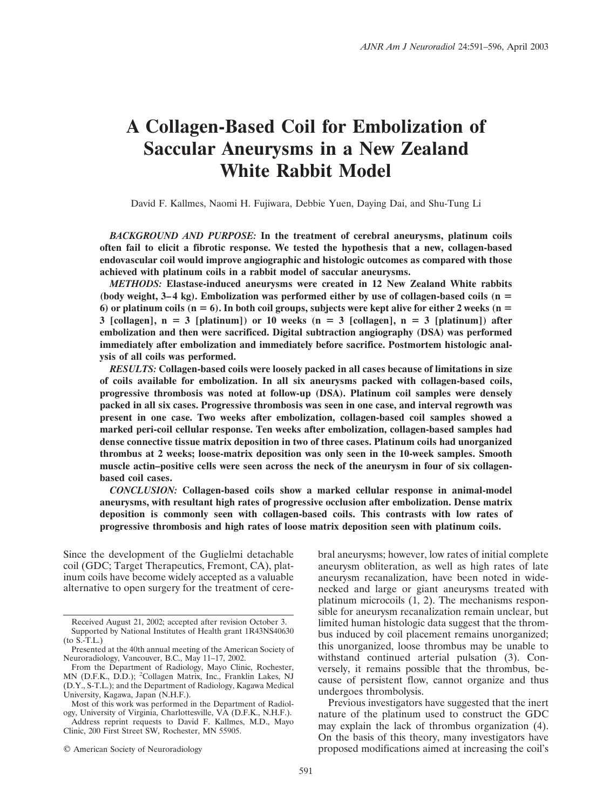# **A Collagen-Based Coil for Embolization of Saccular Aneurysms in a New Zealand White Rabbit Model**

David F. Kallmes, Naomi H. Fujiwara, Debbie Yuen, Daying Dai, and Shu-Tung Li

*BACKGROUND AND PURPOSE:* **In the treatment of cerebral aneurysms, platinum coils often fail to elicit a fibrotic response. We tested the hypothesis that a new, collagen-based endovascular coil would improve angiographic and histologic outcomes as compared with those achieved with platinum coils in a rabbit model of saccular aneurysms.**

*METHODS:* **Elastase-induced aneurysms were created in 12 New Zealand White rabbits (body weight, 3–4 kg). Embolization was performed either by use of collagen-based coils (n 6)** or platinum coils  $(n = 6)$ . In both coil groups, subjects were kept alive for either 2 weeks  $(n = 6)$  $3$  [collagen],  $n = 3$  [platinum]) or 10 weeks  $(n = 3$  [collagen],  $n = 3$  [platinum]) after **embolization and then were sacrificed. Digital subtraction angiography (DSA) was performed immediately after embolization and immediately before sacrifice. Postmortem histologic analysis of all coils was performed.**

*RESULTS:* **Collagen-based coils were loosely packed in all cases because of limitations in size of coils available for embolization. In all six aneurysms packed with collagen-based coils, progressive thrombosis was noted at follow-up (DSA). Platinum coil samples were densely packed in all six cases. Progressive thrombosis was seen in one case, and interval regrowth was present in one case. Two weeks after embolization, collagen-based coil samples showed a marked peri-coil cellular response. Ten weeks after embolization, collagen-based samples had dense connective tissue matrix deposition in two of three cases. Platinum coils had unorganized thrombus at 2 weeks; loose-matrix deposition was only seen in the 10-week samples. Smooth muscle actin–positive cells were seen across the neck of the aneurysm in four of six collagenbased coil cases.**

*CONCLUSION:* **Collagen-based coils show a marked cellular response in animal-model aneurysms, with resultant high rates of progressive occlusion after embolization. Dense matrix deposition is commonly seen with collagen-based coils. This contrasts with low rates of progressive thrombosis and high rates of loose matrix deposition seen with platinum coils.**

Since the development of the Guglielmi detachable coil (GDC; Target Therapeutics, Fremont, CA), platinum coils have become widely accepted as a valuable alternative to open surgery for the treatment of cere-

bral aneurysms; however, low rates of initial complete aneurysm obliteration, as well as high rates of late aneurysm recanalization, have been noted in widenecked and large or giant aneurysms treated with platinum microcoils (1, 2). The mechanisms responsible for aneurysm recanalization remain unclear, but limited human histologic data suggest that the thrombus induced by coil placement remains unorganized; this unorganized, loose thrombus may be unable to withstand continued arterial pulsation (3). Conversely, it remains possible that the thrombus, because of persistent flow, cannot organize and thus undergoes thrombolysis.

Previous investigators have suggested that the inert nature of the platinum used to construct the GDC may explain the lack of thrombus organization (4). On the basis of this theory, many investigators have proposed modifications aimed at increasing the coil's

Received August 21, 2002; accepted after revision October 3. Supported by National Institutes of Health grant 1R43NS40630 (to S.-T.L.)

Presented at the 40th annual meeting of the American Society of Neuroradiology, Vancouver, B.C., May 11–17, 2002.

From the Department of Radiology, Mayo Clinic, Rochester, MN (D.F.K., D.D.); <sup>2</sup> Collagen Matrix, Inc., Franklin Lakes, NJ (D.Y., S-T.L.); and the Department of Radiology, Kagawa Medical University, Kagawa, Japan (N.H.F.).

Most of this work was performed in the Department of Radiology, University of Virginia, Charlottesville, VA (D.F.K., N.H.F.).

Address reprint requests to David F. Kallmes, M.D., Mayo Clinic, 200 First Street SW, Rochester, MN 55905.

<sup>©</sup> American Society of Neuroradiology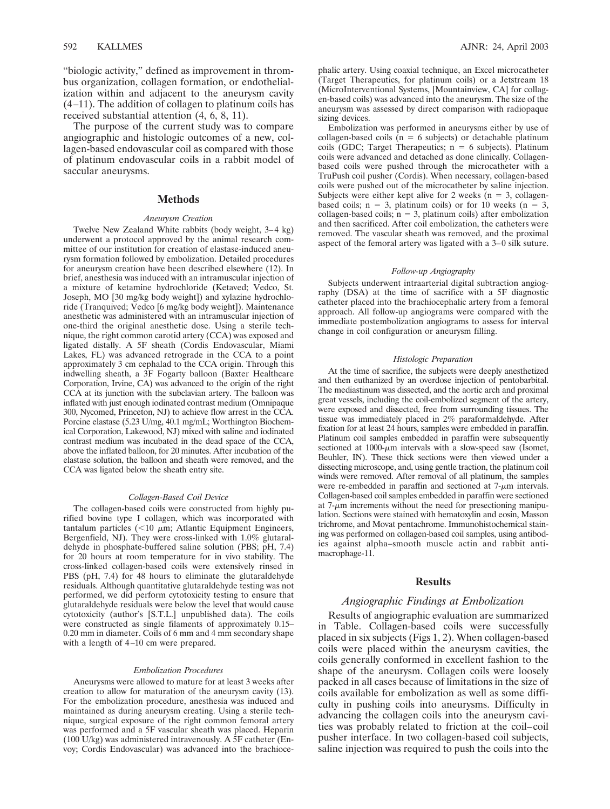"biologic activity," defined as improvement in thrombus organization, collagen formation, or endothelialization within and adjacent to the aneurysm cavity (4–11). The addition of collagen to platinum coils has received substantial attention (4, 6, 8, 11).

The purpose of the current study was to compare angiographic and histologic outcomes of a new, collagen-based endovascular coil as compared with those of platinum endovascular coils in a rabbit model of saccular aneurysms.

### **Methods**

#### *Aneurysm Creation*

Twelve New Zealand White rabbits (body weight, 3–4 kg) underwent a protocol approved by the animal research committee of our institution for creation of elastase-induced aneurysm formation followed by embolization. Detailed procedures for aneurysm creation have been described elsewhere (12). In brief, anesthesia was induced with an intramuscular injection of a mixture of ketamine hydrochloride (Ketaved; Vedco, St. Joseph, MO [30 mg/kg body weight]) and xylazine hydrochloride (Tranquived; Vedco [6 mg/kg body weight]). Maintenance anesthetic was administered with an intramuscular injection of one-third the original anesthetic dose. Using a sterile technique, the right common carotid artery (CCA) was exposed and ligated distally. A 5F sheath (Cordis Endovascular, Miami Lakes, FL) was advanced retrograde in the CCA to a point approximately 3 cm cephalad to the CCA origin. Through this indwelling sheath, a 3F Fogarty balloon (Baxter Healthcare Corporation, Irvine, CA) was advanced to the origin of the right CCA at its junction with the subclavian artery. The balloon was inflated with just enough iodinated contrast medium (Omnipaque 300, Nycomed, Princeton, NJ) to achieve flow arrest in the CCA. Porcine elastase (5.23 U/mg, 40.1 mg/mL; Worthington Biochemical Corporation, Lakewood, NJ) mixed with saline and iodinated contrast medium was incubated in the dead space of the CCA, above the inflated balloon, for 20 minutes. After incubation of the elastase solution, the balloon and sheath were removed, and the CCA was ligated below the sheath entry site.

#### *Collagen-Based Coil Device*

The collagen-based coils were constructed from highly purified bovine type I collagen, which was incorporated with tantalum particles  $\left($  < 10  $\mu$ m; Atlantic Equipment Engineers, Bergenfield, NJ). They were cross-linked with 1.0% glutaraldehyde in phosphate-buffered saline solution (PBS; pH, 7.4) for 20 hours at room temperature for in vivo stability. The cross-linked collagen-based coils were extensively rinsed in PBS (pH, 7.4) for 48 hours to eliminate the glutaraldehyde residuals. Although quantitative glutaraldehyde testing was not performed, we did perform cytotoxicity testing to ensure that glutaraldehyde residuals were below the level that would cause cytotoxicity (author's [S.T.L.] unpublished data). The coils were constructed as single filaments of approximately 0.15– 0.20 mm in diameter. Coils of 6 mm and 4 mm secondary shape with a length of  $4-10$  cm were prepared.

#### *Embolization Procedures*

Aneurysms were allowed to mature for at least 3 weeks after creation to allow for maturation of the aneurysm cavity (13). For the embolization procedure, anesthesia was induced and maintained as during aneurysm creating. Using a sterile technique, surgical exposure of the right common femoral artery was performed and a 5F vascular sheath was placed. Heparin  $(100 \text{ U/kg})$  was administered intravenously. A 5F catheter (Envoy; Cordis Endovascular) was advanced into the brachiocephalic artery. Using coaxial technique, an Excel microcatheter (Target Therapeutics, for platinum coils) or a Jetstream 18 (MicroInterventional Systems, [Mountainview, CA] for collagen-based coils) was advanced into the aneurysm. The size of the aneurysm was assessed by direct comparison with radiopaque sizing devices.

Embolization was performed in aneurysms either by use of collagen-based coils  $(n = 6$  subjects) or detachable platinum  $\text{coils (GDC; Target Therap\text{eutics}; } n = 6 \text{ subjects}. \text{Platinum}$ coils were advanced and detached as done clinically. Collagenbased coils were pushed through the microcatheter with a TruPush coil pusher (Cordis). When necessary, collagen-based coils were pushed out of the microcatheter by saline injection. Subjects were either kept alive for 2 weeks  $(n = 3,$  collagenbased coils;  $n = 3$ , platinum coils) or for 10 weeks ( $n = 3$ ,  $\text{collagen-based coils};$   $n = 3$ , platinum coils) after embolization and then sacrificed. After coil embolization, the catheters were removed. The vascular sheath was removed, and the proximal aspect of the femoral artery was ligated with a 3–0 silk suture.

#### *Follow-up Angiography*

Subjects underwent intraarterial digital subtraction angiography (DSA) at the time of sacrifice with a 5F diagnostic catheter placed into the brachiocephalic artery from a femoral approach. All follow-up angiograms were compared with the immediate postembolization angiograms to assess for interval change in coil configuration or aneurysm filling.

### *Histologic Preparation*

At the time of sacrifice, the subjects were deeply anesthetized and then euthanized by an overdose injection of pentobarbital. The mediastinum was dissected, and the aortic arch and proximal great vessels, including the coil-embolized segment of the artery, were exposed and dissected, free from surrounding tissues. The tissue was immediately placed in 2% paraformaldehyde. After fixation for at least 24 hours, samples were embedded in paraffin. Platinum coil samples embedded in paraffin were subsequently sectioned at  $1000$ - $\mu$ m intervals with a slow-speed saw (Isomet, Beuhler, IN). These thick sections were then viewed under a dissecting microscope, and, using gentle traction, the platinum coil winds were removed. After removal of all platinum, the samples were re-embedded in paraffin and sectioned at  $7-\mu m$  intervals. Collagen-based coil samples embedded in paraffin were sectioned at  $7-\mu m$  increments without the need for presectioning manipulation. Sections were stained with hematoxylin and eosin, Masson trichrome, and Movat pentachrome. Immunohistochemical staining was performed on collagen-based coil samples, using antibodies against alpha–smooth muscle actin and rabbit antimacrophage-11.

## **Results**

## *Angiographic Findings at Embolization*

Results of angiographic evaluation are summarized in Table. Collagen-based coils were successfully placed in six subjects (Figs 1, 2). When collagen-based coils were placed within the aneurysm cavities, the coils generally conformed in excellent fashion to the shape of the aneurysm. Collagen coils were loosely packed in all cases because of limitations in the size of coils available for embolization as well as some difficulty in pushing coils into aneurysms. Difficulty in advancing the collagen coils into the aneurysm cavities was probably related to friction at the coil–coil pusher interface. In two collagen-based coil subjects, saline injection was required to push the coils into the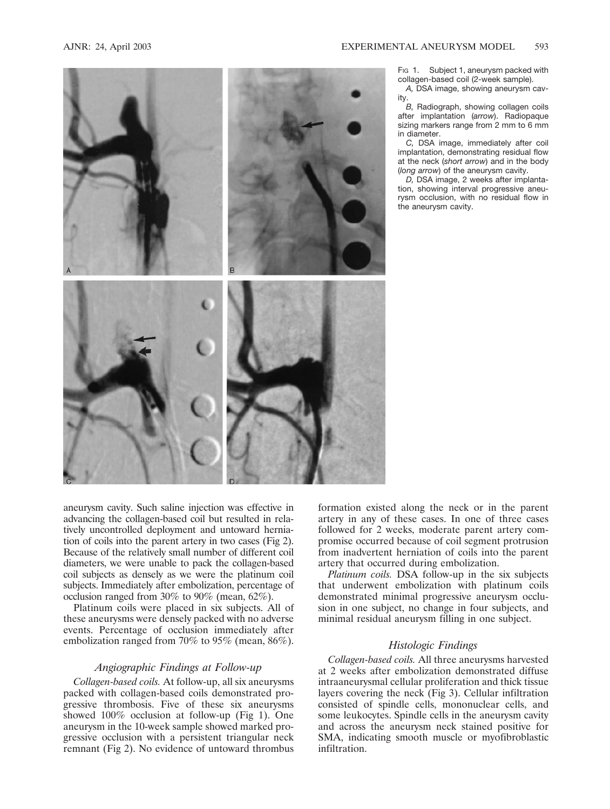

Fig 1. Subject 1, aneurysm packed with collagen-based coil (2-week sample).

*A,* DSA image, showing aneurysm cavity.

*B,* Radiograph, showing collagen coils after implantation (*arrow*). Radiopaque sizing markers range from 2 mm to 6 mm in diameter.

*C,* DSA image, immediately after coil implantation, demonstrating residual flow at the neck (*short arrow*) and in the body (*long arrow*) of the aneurysm cavity.

*D,* DSA image, 2 weeks after implantation, showing interval progressive aneurysm occlusion, with no residual flow in the aneurysm cavity.

aneurysm cavity. Such saline injection was effective in advancing the collagen-based coil but resulted in relatively uncontrolled deployment and untoward herniation of coils into the parent artery in two cases (Fig 2). Because of the relatively small number of different coil diameters, we were unable to pack the collagen-based coil subjects as densely as we were the platinum coil subjects. Immediately after embolization, percentage of occlusion ranged from 30% to 90% (mean, 62%).

Platinum coils were placed in six subjects. All of these aneurysms were densely packed with no adverse events. Percentage of occlusion immediately after embolization ranged from 70% to 95% (mean, 86%).

# *Angiographic Findings at Follow-up*

*Collagen-based coils.* At follow-up, all six aneurysms packed with collagen-based coils demonstrated progressive thrombosis. Five of these six aneurysms showed 100% occlusion at follow-up (Fig 1). One aneurysm in the 10-week sample showed marked progressive occlusion with a persistent triangular neck remnant (Fig 2). No evidence of untoward thrombus formation existed along the neck or in the parent artery in any of these cases. In one of three cases followed for 2 weeks, moderate parent artery compromise occurred because of coil segment protrusion from inadvertent herniation of coils into the parent artery that occurred during embolization.

*Platinum coils.* DSA follow-up in the six subjects that underwent embolization with platinum coils demonstrated minimal progressive aneurysm occlusion in one subject, no change in four subjects, and minimal residual aneurysm filling in one subject.

# *Histologic Findings*

*Collagen-based coils.* All three aneurysms harvested at 2 weeks after embolization demonstrated diffuse intraaneurysmal cellular proliferation and thick tissue layers covering the neck (Fig 3). Cellular infiltration consisted of spindle cells, mononuclear cells, and some leukocytes. Spindle cells in the aneurysm cavity and across the aneurysm neck stained positive for SMA, indicating smooth muscle or myofibroblastic infiltration.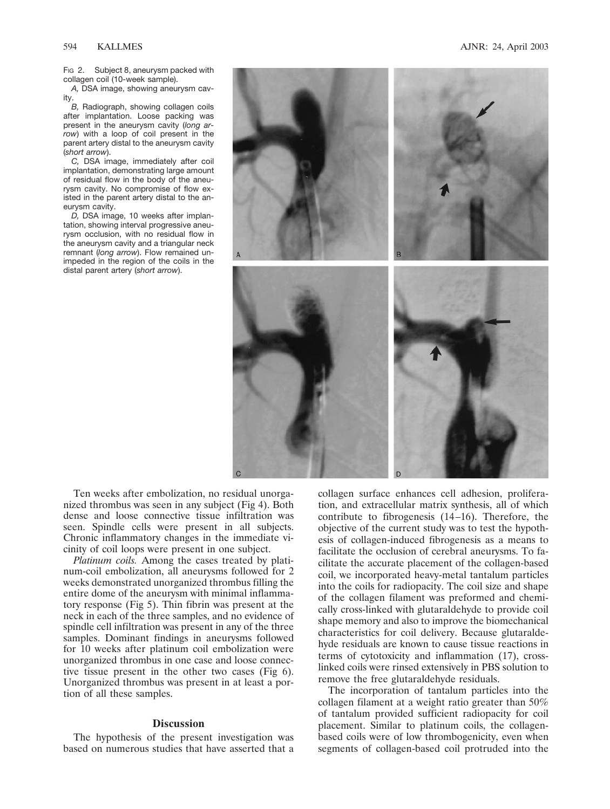FIG 2. Subject 8, aneurysm packed with collagen coil (10-week sample).

*A,* DSA image, showing aneurysm cavity.

*B,* Radiograph, showing collagen coils after implantation. Loose packing was present in the aneurysm cavity (*long arrow*) with a loop of coil present in the parent artery distal to the aneurysm cavity (*short arrow*).

*C,* DSA image, immediately after coil implantation, demonstrating large amount of residual flow in the body of the aneurysm cavity. No compromise of flow existed in the parent artery distal to the aneurysm cavity.

*D,* DSA image, 10 weeks after implantation, showing interval progressive aneurysm occlusion, with no residual flow in the aneurysm cavity and a triangular neck remnant (*long arrow*). Flow remained unimpeded in the region of the coils in the distal parent artery (*short arrow*).



Ten weeks after embolization, no residual unorganized thrombus was seen in any subject (Fig 4). Both dense and loose connective tissue infiltration was seen. Spindle cells were present in all subjects. Chronic inflammatory changes in the immediate vicinity of coil loops were present in one subject.

*Platinum coils.* Among the cases treated by platinum-coil embolization, all aneurysms followed for 2 weeks demonstrated unorganized thrombus filling the entire dome of the aneurysm with minimal inflammatory response (Fig 5). Thin fibrin was present at the neck in each of the three samples, and no evidence of spindle cell infiltration was present in any of the three samples. Dominant findings in aneurysms followed for 10 weeks after platinum coil embolization were unorganized thrombus in one case and loose connective tissue present in the other two cases (Fig 6). Unorganized thrombus was present in at least a portion of all these samples.

# **Discussion**

The hypothesis of the present investigation was based on numerous studies that have asserted that a collagen surface enhances cell adhesion, proliferation, and extracellular matrix synthesis, all of which contribute to fibrogenesis (14–16). Therefore, the objective of the current study was to test the hypothesis of collagen-induced fibrogenesis as a means to facilitate the occlusion of cerebral aneurysms. To facilitate the accurate placement of the collagen-based coil, we incorporated heavy-metal tantalum particles into the coils for radiopacity. The coil size and shape of the collagen filament was preformed and chemically cross-linked with glutaraldehyde to provide coil shape memory and also to improve the biomechanical characteristics for coil delivery. Because glutaraldehyde residuals are known to cause tissue reactions in terms of cytotoxicity and inflammation (17), crosslinked coils were rinsed extensively in PBS solution to remove the free glutaraldehyde residuals.

The incorporation of tantalum particles into the collagen filament at a weight ratio greater than 50% of tantalum provided sufficient radiopacity for coil placement. Similar to platinum coils, the collagenbased coils were of low thrombogenicity, even when segments of collagen-based coil protruded into the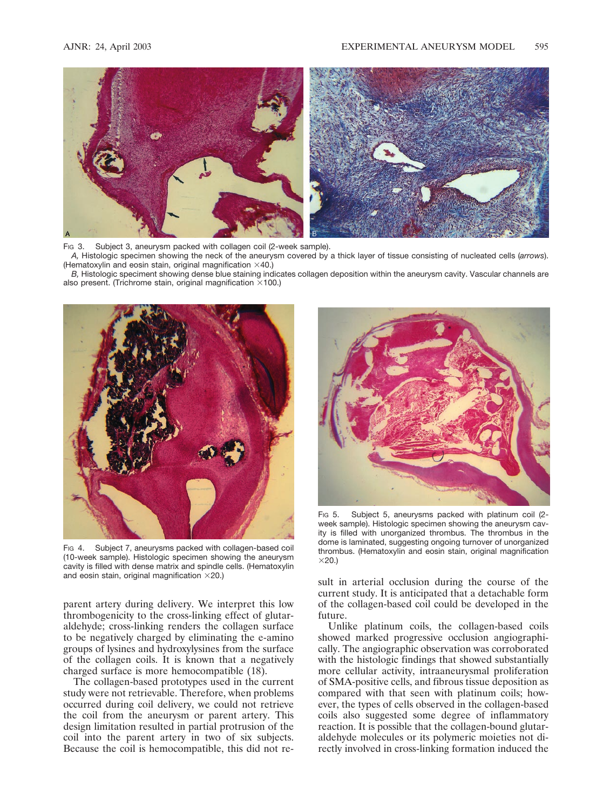

Fig 3. Subject 3, aneurysm packed with collagen coil (2-week sample).

*A,* Histologic specimen showing the neck of the aneurysm covered by a thick layer of tissue consisting of nucleated cells (*arrows*). (Hematoxylin and eosin stain, original magnification  $\times$ 40.)

*B,* Histologic speciment showing dense blue staining indicates collagen deposition within the aneurysm cavity. Vascular channels are also present. (Trichrome stain, original magnification  $\times$ 100.)



Fig 4. Subject 7, aneurysms packed with collagen-based coil (10-week sample). Histologic specimen showing the aneurysm cavity is filled with dense matrix and spindle cells. (Hematoxylin and eosin stain, original magnification  $\times$ 20.)

parent artery during delivery. We interpret this low thrombogenicity to the cross-linking effect of glutaraldehyde; cross-linking renders the collagen surface to be negatively charged by eliminating the e-amino groups of lysines and hydroxylysines from the surface of the collagen coils. It is known that a negatively charged surface is more hemocompatible (18).

The collagen-based prototypes used in the current study were not retrievable. Therefore, when problems occurred during coil delivery, we could not retrieve the coil from the aneurysm or parent artery. This design limitation resulted in partial protrusion of the coil into the parent artery in two of six subjects. Because the coil is hemocompatible, this did not re-



Fig 5. Subject 5, aneurysms packed with platinum coil (2week sample). Histologic specimen showing the aneurysm cavity is filled with unorganized thrombus. The thrombus in the dome is laminated, suggesting ongoing turnover of unorganized thrombus. (Hematoxylin and eosin stain, original magnification  $×20.$ 

sult in arterial occlusion during the course of the current study. It is anticipated that a detachable form of the collagen-based coil could be developed in the future.

Unlike platinum coils, the collagen-based coils showed marked progressive occlusion angiographically. The angiographic observation was corroborated with the histologic findings that showed substantially more cellular activity, intraaneurysmal proliferation of SMA-positive cells, and fibrous tissue deposition as compared with that seen with platinum coils; however, the types of cells observed in the collagen-based coils also suggested some degree of inflammatory reaction. It is possible that the collagen-bound glutaraldehyde molecules or its polymeric moieties not directly involved in cross-linking formation induced the